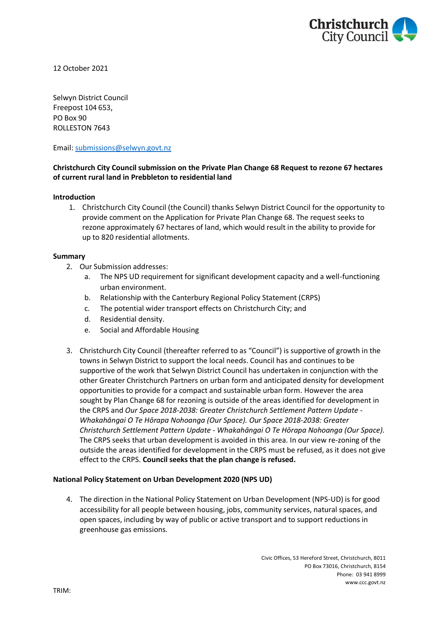

12 October 2021

Selwyn District Council Freepost 104 653, PO Box 90 ROLLESTON 7643

Email: [submissions@selwyn.govt.nz](mailto:submissions@selwyn.govt.nz)

# **Christchurch City Council submission on the Private Plan Change 68 Request to rezone 67 hectares of current rural land in Prebbleton to residential land**

### **Introduction**

1. Christchurch City Council (the Council) thanks Selwyn District Council for the opportunity to provide comment on the Application for Private Plan Change 68. The request seeks to rezone approximately 67 hectares of land, which would result in the ability to provide for up to 820 residential allotments.

### **Summary**

- 2. Our Submission addresses:
	- a. The NPS UD requirement for significant development capacity and a well-functioning urban environment.
	- b. Relationship with the Canterbury Regional Policy Statement (CRPS)
	- c. The potential wider transport effects on Christchurch City; and
	- d. Residential density.
	- e. Social and Affordable Housing
- 3. Christchurch City Council (thereafter referred to as "Council") is supportive of growth in the towns in Selwyn District to support the local needs. Council has and continues to be supportive of the work that Selwyn District Council has undertaken in conjunction with the other Greater Christchurch Partners on urban form and anticipated density for development opportunities to provide for a compact and sustainable urban form. However the area sought by Plan Change 68 for rezoning is outside of the areas identified for development in the CRPS and *Our Space 2018-2038: Greater Christchurch Settlement Pattern Update - Whakahāngai O Te Hōrapa Nohoanga (Our Space). Our Space 2018-2038: Greater Christchurch Settlement Pattern Update - Whakahāngai O Te Hōrapa Nohoanga (Our Space).*  The CRPS seeks that urban development is avoided in this area. In our view re-zoning of the outside the areas identified for development in the CRPS must be refused, as it does not give effect to the CRPS. **Council seeks that the plan change is refused.**

## **National Policy Statement on Urban Development 2020 (NPS UD)**

4. The direction in the National Policy Statement on Urban Development (NPS-UD) is for good accessibility for all people between housing, jobs, community services, natural spaces, and open spaces, including by way of public or active transport and to support reductions in greenhouse gas emissions.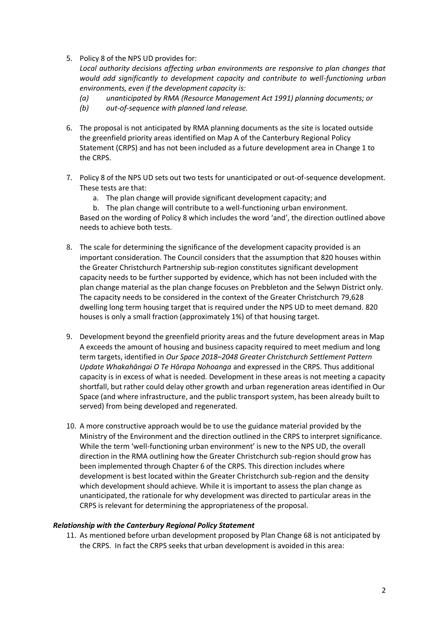5. Policy 8 of the NPS UD provides for:

*Local authority decisions affecting urban environments are responsive to plan changes that would add significantly to development capacity and contribute to well-functioning urban environments, even if the development capacity is:* 

- *(a) unanticipated by RMA (Resource Management Act 1991) planning documents; or*
- *(b) out-of-sequence with planned land release.*
- 6. The proposal is not anticipated by RMA planning documents as the site is located outside the greenfield priority areas identified on Map A of the Canterbury Regional Policy Statement (CRPS) and has not been included as a future development area in Change 1 to the CRPS.
- 7. Policy 8 of the NPS UD sets out two tests for unanticipated or out-of-sequence development. These tests are that:
	- a. The plan change will provide significant development capacity; and
	- b. The plan change will contribute to a well-functioning urban environment.

Based on the wording of Policy 8 which includes the word 'and', the direction outlined above needs to achieve both tests.

- 8. The scale for determining the significance of the development capacity provided is an important consideration. The Council considers that the assumption that 820 houses within the Greater Christchurch Partnership sub-region constitutes significant development capacity needs to be further supported by evidence, which has not been included with the plan change material as the plan change focuses on Prebbleton and the Selwyn District only. The capacity needs to be considered in the context of the Greater Christchurch 79,628 dwelling long term housing target that is required under the NPS UD to meet demand. 820 houses is only a small fraction (approximately 1%) of that housing target.
- 9. Development beyond the greenfield priority areas and the future development areas in Map A exceeds the amount of housing and business capacity required to meet medium and long term targets, identified in *Our Space 2018–2048 Greater Christchurch Settlement Pattern Update Whakahāngai O Te Hōrapa Nohoanga* and expressed in the CRPS. Thus additional capacity is in excess of what is needed. Development in these areas is not meeting a capacity shortfall, but rather could delay other growth and urban regeneration areas identified in Our Space (and where infrastructure, and the public transport system, has been already built to served) from being developed and regenerated.
- 10. A more constructive approach would be to use the guidance material provided by the Ministry of the Environment and the direction outlined in the CRPS to interpret significance. While the term 'well-functioning urban environment' is new to the NPS UD, the overall direction in the RMA outlining how the Greater Christchurch sub-region should grow has been implemented through Chapter 6 of the CRPS. This direction includes where development is best located within the Greater Christchurch sub-region and the density which development should achieve. While it is important to assess the plan change as unanticipated, the rationale for why development was directed to particular areas in the CRPS is relevant for determining the appropriateness of the proposal.

## *Relationship with the Canterbury Regional Policy Statement*

11. As mentioned before urban development proposed by Plan Change 68 is not anticipated by the CRPS. In fact the CRPS seeks that urban development is avoided in this area: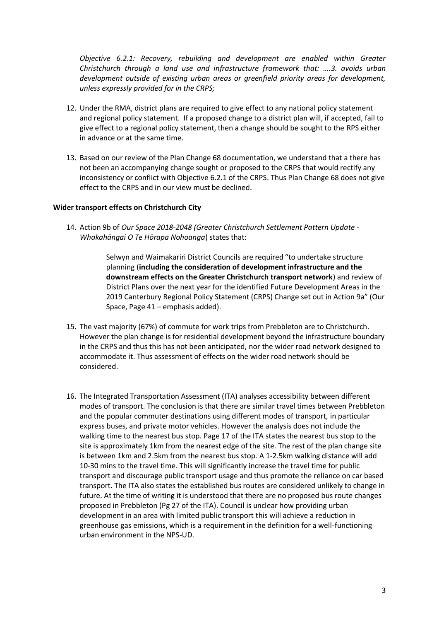*Objective 6.2.1: Recovery, rebuilding and development are enabled within Greater Christchurch through a land use and infrastructure framework that: ….3. avoids urban development outside of existing urban areas or greenfield priority areas for development, unless expressly provided for in the CRPS;*

- 12. Under the RMA, district plans are required to give effect to any national policy statement and regional policy statement. If a proposed change to a district plan will, if accepted, fail to give effect to a regional policy statement, then a change should be sought to the RPS either in advance or at the same time.
- 13. Based on our review of the Plan Change 68 documentation, we understand that a there has not been an accompanying change sought or proposed to the CRPS that would rectify any inconsistency or conflict with Objective 6.2.1 of the CRPS. Thus Plan Change 68 does not give effect to the CRPS and in our view must be declined.

### **Wider transport effects on Christchurch City**

14. Action 9b of *Our Space 2018-2048 (Greater Christchurch Settlement Pattern Update - Whakahāngai O Te Hōrapa Nohoanga*) states that:

> Selwyn and Waimakariri District Councils are required "to undertake structure planning (**including the consideration of development infrastructure and the downstream effects on the Greater Christchurch transport network**) and review of District Plans over the next year for the identified Future Development Areas in the 2019 Canterbury Regional Policy Statement (CRPS) Change set out in Action 9a" (Our Space, Page 41 – emphasis added).

- 15. The vast majority (67%) of commute for work trips from Prebbleton are to Christchurch. However the plan change is for residential development beyond the infrastructure boundary in the CRPS and thus this has not been anticipated, nor the wider road network designed to accommodate it. Thus assessment of effects on the wider road network should be considered.
- 16. The Integrated Transportation Assessment (ITA) analyses accessibility between different modes of transport. The conclusion is that there are similar travel times between Prebbleton and the popular commuter destinations using different modes of transport, in particular express buses, and private motor vehicles. However the analysis does not include the walking time to the nearest bus stop. Page 17 of the ITA states the nearest bus stop to the site is approximately 1km from the nearest edge of the site. The rest of the plan change site is between 1km and 2.5km from the nearest bus stop. A 1-2.5km walking distance will add 10-30 mins to the travel time. This will significantly increase the travel time for public transport and discourage public transport usage and thus promote the reliance on car based transport. The ITA also states the established bus routes are considered unlikely to change in future. At the time of writing it is understood that there are no proposed bus route changes proposed in Prebbleton (Pg 27 of the ITA). Council is unclear how providing urban development in an area with limited public transport this will achieve a reduction in greenhouse gas emissions, which is a requirement in the definition for a well-functioning urban environment in the NPS-UD.